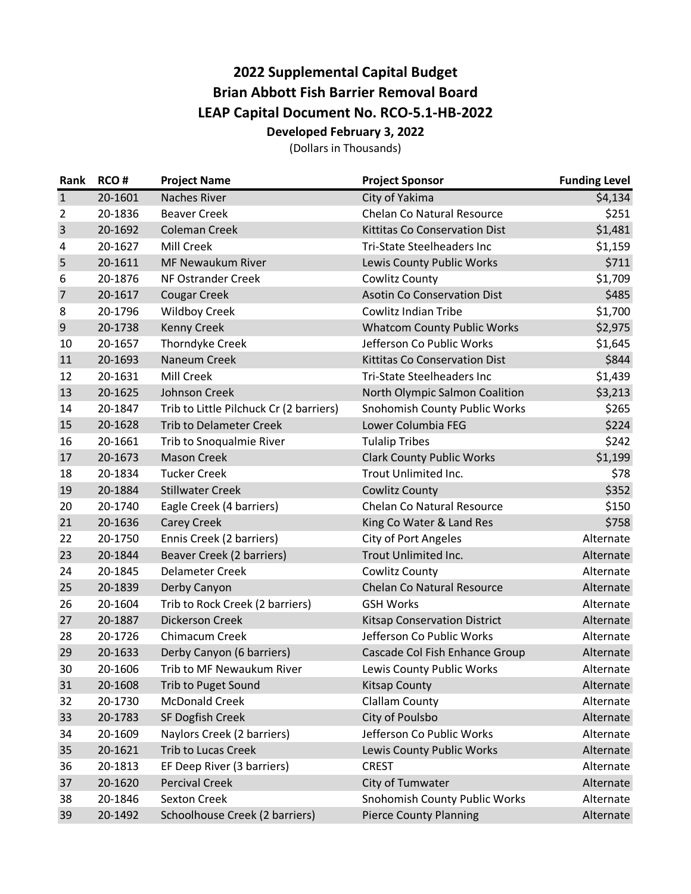## **2022 Supplemental Capital Budget Brian Abbott Fish Barrier Removal Board LEAP Capital Document No. RCO-5.1-HB-2022 Developed February 3, 2022**

(Dollars in Thousands)

| Rank           | RCO#    | <b>Project Name</b>                     | <b>Project Sponsor</b>               | <b>Funding Level</b> |
|----------------|---------|-----------------------------------------|--------------------------------------|----------------------|
| $\mathbf{1}$   | 20-1601 | <b>Naches River</b>                     | City of Yakima                       | $\overline{54,134}$  |
| $\overline{2}$ | 20-1836 | <b>Beaver Creek</b>                     | <b>Chelan Co Natural Resource</b>    | \$251                |
| $\overline{3}$ | 20-1692 | <b>Coleman Creek</b>                    | <b>Kittitas Co Conservation Dist</b> | \$1,481              |
| 4              | 20-1627 | Mill Creek                              | Tri-State Steelheaders Inc           | \$1,159              |
| 5              | 20-1611 | <b>MF Newaukum River</b>                | Lewis County Public Works            | \$711                |
| 6              | 20-1876 | NF Ostrander Creek                      | Cowlitz County                       | \$1,709              |
| $\overline{7}$ | 20-1617 | <b>Cougar Creek</b>                     | <b>Asotin Co Conservation Dist</b>   | \$485                |
| 8              | 20-1796 | <b>Wildboy Creek</b>                    | <b>Cowlitz Indian Tribe</b>          | \$1,700              |
| 9              | 20-1738 | <b>Kenny Creek</b>                      | <b>Whatcom County Public Works</b>   | \$2,975              |
| 10             | 20-1657 | Thorndyke Creek                         | Jefferson Co Public Works            | \$1,645              |
| 11             | 20-1693 | Naneum Creek                            | Kittitas Co Conservation Dist        | \$844                |
| 12             | 20-1631 | <b>Mill Creek</b>                       | <b>Tri-State Steelheaders Inc</b>    | \$1,439              |
| 13             | 20-1625 | Johnson Creek                           | North Olympic Salmon Coalition       | \$3,213              |
| 14             | 20-1847 | Trib to Little Pilchuck Cr (2 barriers) | Snohomish County Public Works        | \$265                |
| 15             | 20-1628 | <b>Trib to Delameter Creek</b>          | Lower Columbia FEG                   | \$224                |
| 16             | 20-1661 | Trib to Snoqualmie River                | <b>Tulalip Tribes</b>                | \$242                |
| 17             | 20-1673 | <b>Mason Creek</b>                      | <b>Clark County Public Works</b>     | \$1,199              |
| 18             | 20-1834 | <b>Tucker Creek</b>                     | Trout Unlimited Inc.                 | \$78                 |
| 19             | 20-1884 | <b>Stillwater Creek</b>                 | <b>Cowlitz County</b>                | \$352                |
| 20             | 20-1740 | Eagle Creek (4 barriers)                | <b>Chelan Co Natural Resource</b>    | \$150                |
| 21             | 20-1636 | <b>Carey Creek</b>                      | King Co Water & Land Res             | \$758                |
| 22             | 20-1750 | Ennis Creek (2 barriers)                | <b>City of Port Angeles</b>          | Alternate            |
| 23             | 20-1844 | Beaver Creek (2 barriers)               | Trout Unlimited Inc.                 | Alternate            |
| 24             | 20-1845 | <b>Delameter Creek</b>                  | Cowlitz County                       | Alternate            |
| 25             | 20-1839 | Derby Canyon                            | <b>Chelan Co Natural Resource</b>    | Alternate            |
| 26             | 20-1604 | Trib to Rock Creek (2 barriers)         | <b>GSH Works</b>                     | Alternate            |
| 27             | 20-1887 | <b>Dickerson Creek</b>                  | <b>Kitsap Conservation District</b>  | Alternate            |
| 28             | 20-1726 | Chimacum Creek                          | Jefferson Co Public Works            | Alternate            |
| 29             | 20-1633 | Derby Canyon (6 barriers)               | Cascade Col Fish Enhance Group       | Alternate            |
| 30             | 20-1606 | Trib to MF Newaukum River               | Lewis County Public Works            | Alternate            |
| 31             | 20-1608 | Trib to Puget Sound                     | <b>Kitsap County</b>                 | Alternate            |
| 32             | 20-1730 | <b>McDonald Creek</b>                   | <b>Clallam County</b>                | Alternate            |
| 33             | 20-1783 | SF Dogfish Creek                        | City of Poulsbo                      | Alternate            |
| 34             | 20-1609 | Naylors Creek (2 barriers)              | Jefferson Co Public Works            | Alternate            |
| 35             | 20-1621 | <b>Trib to Lucas Creek</b>              | Lewis County Public Works            | Alternate            |
| 36             | 20-1813 | EF Deep River (3 barriers)              | <b>CREST</b>                         | Alternate            |
| 37             | 20-1620 | <b>Percival Creek</b>                   | City of Tumwater                     | Alternate            |
| 38             | 20-1846 | <b>Sexton Creek</b>                     | Snohomish County Public Works        | Alternate            |
| 39             | 20-1492 | Schoolhouse Creek (2 barriers)          | <b>Pierce County Planning</b>        | Alternate            |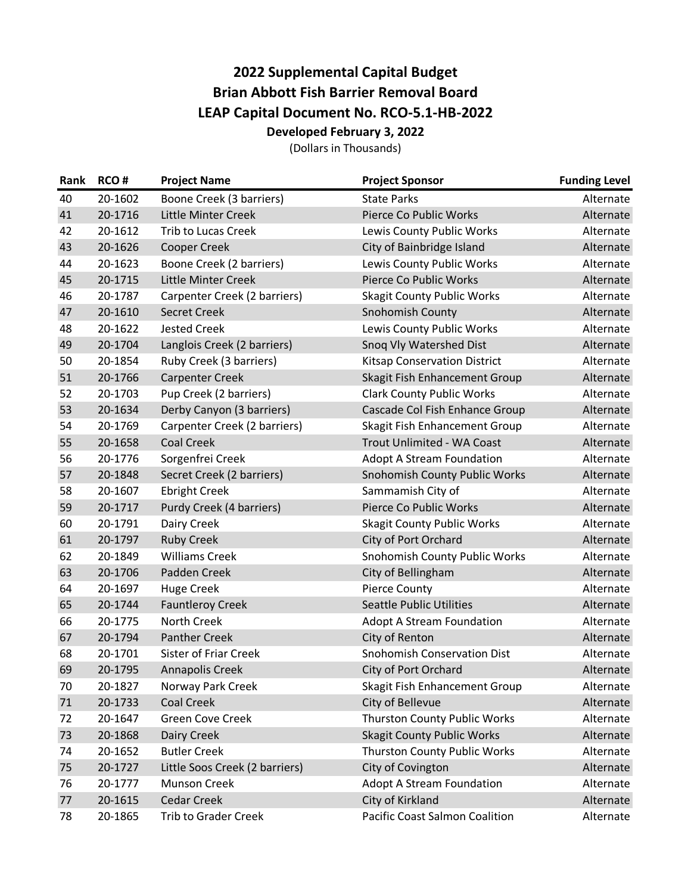## **2022 Supplemental Capital Budget Brian Abbott Fish Barrier Removal Board LEAP Capital Document No. RCO-5.1-HB-2022 Developed February 3, 2022**

(Dollars in Thousands)

| Rank | RCO#    | <b>Project Name</b>            | <b>Project Sponsor</b>                | <b>Funding Level</b> |
|------|---------|--------------------------------|---------------------------------------|----------------------|
| 40   | 20-1602 | Boone Creek (3 barriers)       | <b>State Parks</b>                    | Alternate            |
| 41   | 20-1716 | Little Minter Creek            | Pierce Co Public Works                | Alternate            |
| 42   | 20-1612 | <b>Trib to Lucas Creek</b>     | Lewis County Public Works             | Alternate            |
| 43   | 20-1626 | <b>Cooper Creek</b>            | City of Bainbridge Island             | Alternate            |
| 44   | 20-1623 | Boone Creek (2 barriers)       | Lewis County Public Works             | Alternate            |
| 45   | 20-1715 | Little Minter Creek            | Pierce Co Public Works                | Alternate            |
| 46   | 20-1787 | Carpenter Creek (2 barriers)   | <b>Skagit County Public Works</b>     | Alternate            |
| 47   | 20-1610 | <b>Secret Creek</b>            | Snohomish County                      | Alternate            |
| 48   | 20-1622 | <b>Jested Creek</b>            | Lewis County Public Works             | Alternate            |
| 49   | 20-1704 | Langlois Creek (2 barriers)    | Snoq Vly Watershed Dist               | Alternate            |
| 50   | 20-1854 | Ruby Creek (3 barriers)        | <b>Kitsap Conservation District</b>   | Alternate            |
| 51   | 20-1766 | <b>Carpenter Creek</b>         | Skagit Fish Enhancement Group         | Alternate            |
| 52   | 20-1703 | Pup Creek (2 barriers)         | <b>Clark County Public Works</b>      | Alternate            |
| 53   | 20-1634 | Derby Canyon (3 barriers)      | Cascade Col Fish Enhance Group        | Alternate            |
| 54   | 20-1769 | Carpenter Creek (2 barriers)   | Skagit Fish Enhancement Group         | Alternate            |
| 55   | 20-1658 | <b>Coal Creek</b>              | Trout Unlimited - WA Coast            | Alternate            |
| 56   | 20-1776 | Sorgenfrei Creek               | <b>Adopt A Stream Foundation</b>      | Alternate            |
| 57   | 20-1848 | Secret Creek (2 barriers)      | Snohomish County Public Works         | Alternate            |
| 58   | 20-1607 | <b>Ebright Creek</b>           | Sammamish City of                     | Alternate            |
| 59   | 20-1717 | Purdy Creek (4 barriers)       | Pierce Co Public Works                | Alternate            |
| 60   | 20-1791 | Dairy Creek                    | <b>Skagit County Public Works</b>     | Alternate            |
| 61   | 20-1797 | <b>Ruby Creek</b>              | City of Port Orchard                  | Alternate            |
| 62   | 20-1849 | <b>Williams Creek</b>          | Snohomish County Public Works         | Alternate            |
| 63   | 20-1706 | Padden Creek                   | City of Bellingham                    | Alternate            |
| 64   | 20-1697 | <b>Huge Creek</b>              | <b>Pierce County</b>                  | Alternate            |
| 65   | 20-1744 | <b>Fauntleroy Creek</b>        | <b>Seattle Public Utilities</b>       | Alternate            |
| 66   | 20-1775 | North Creek                    | <b>Adopt A Stream Foundation</b>      | Alternate            |
| 67   | 20-1794 | <b>Panther Creek</b>           | City of Renton                        | Alternate            |
| 68   | 20-1701 | <b>Sister of Friar Creek</b>   | <b>Snohomish Conservation Dist</b>    | Alternate            |
| 69   | 20-1795 | <b>Annapolis Creek</b>         | City of Port Orchard                  | Alternate            |
| 70   | 20-1827 | Norway Park Creek              | Skagit Fish Enhancement Group         | Alternate            |
| 71   | 20-1733 | <b>Coal Creek</b>              | City of Bellevue                      | Alternate            |
| 72   | 20-1647 | Green Cove Creek               | Thurston County Public Works          | Alternate            |
| 73   | 20-1868 | Dairy Creek                    | <b>Skagit County Public Works</b>     | Alternate            |
| 74   | 20-1652 | <b>Butler Creek</b>            | Thurston County Public Works          | Alternate            |
| 75   | 20-1727 | Little Soos Creek (2 barriers) | City of Covington                     | Alternate            |
| 76   | 20-1777 | <b>Munson Creek</b>            | <b>Adopt A Stream Foundation</b>      | Alternate            |
| 77   | 20-1615 | <b>Cedar Creek</b>             | City of Kirkland                      | Alternate            |
| 78   | 20-1865 | <b>Trib to Grader Creek</b>    | <b>Pacific Coast Salmon Coalition</b> | Alternate            |